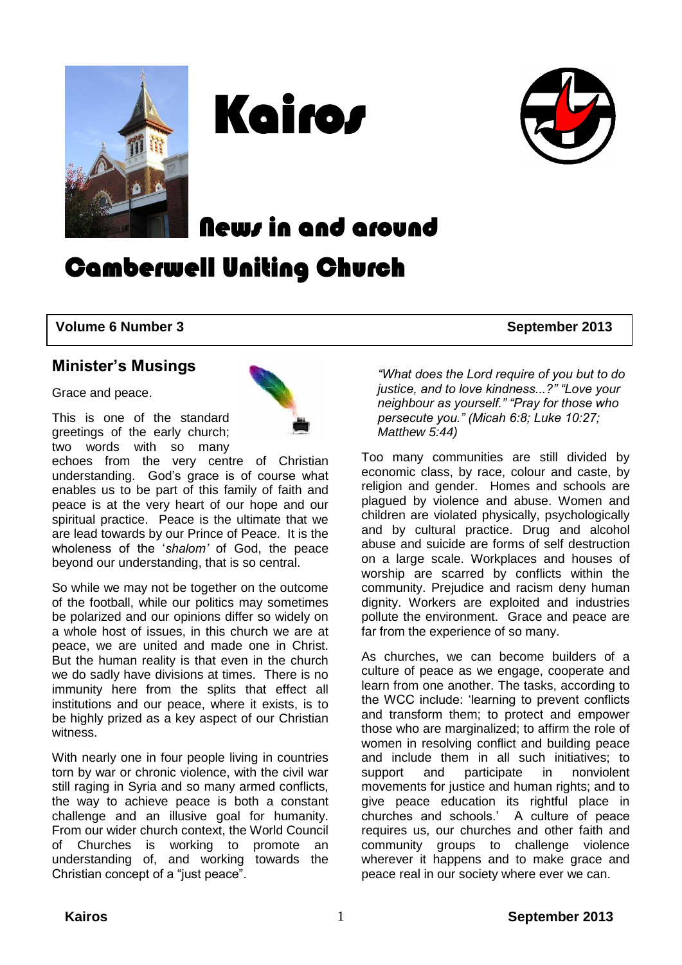





News in and around

Camberwell Uniting Church

#### **Volume 6 Number 3** September 2013

#### **Minister's Musings**

Grace and peace.

This is one of the standard greetings of the early church; two words with so many



echoes from the very centre of Christian understanding. God's grace is of course what enables us to be part of this family of faith and peace is at the very heart of our hope and our spiritual practice. Peace is the ultimate that we are lead towards by our Prince of Peace. It is the wholeness of the '*shalom'* of God, the peace beyond our understanding, that is so central.

So while we may not be together on the outcome of the football, while our politics may sometimes be polarized and our opinions differ so widely on a whole host of issues, in this church we are at peace, we are united and made one in Christ. But the human reality is that even in the church we do sadly have divisions at times. There is no immunity here from the splits that effect all institutions and our peace, where it exists, is to be highly prized as a key aspect of our Christian witness.

With nearly one in four people living in countries torn by war or chronic violence, with the civil war still raging in Syria and so many armed conflicts, the way to achieve peace is both a constant challenge and an illusive goal for humanity. From our wider church context, the World Council of Churches is working to promote an understanding of, and working towards the Christian concept of a "just peace".

*"What does the Lord require of you but to do justice, and to love kindness...?" "Love your neighbour as yourself." "Pray for those who persecute you." (Micah 6:8; Luke 10:27; Matthew 5:44)*

Too many communities are still divided by economic class, by race, colour and caste, by religion and gender. Homes and schools are plagued by violence and abuse. Women and children are violated physically, psychologically and by cultural practice. Drug and alcohol abuse and suicide are forms of self destruction on a large scale. Workplaces and houses of worship are scarred by conflicts within the community. Prejudice and racism deny human dignity. Workers are exploited and industries pollute the environment. Grace and peace are far from the experience of so many.

As churches, we can become builders of a culture of peace as we engage, cooperate and learn from one another. The tasks, according to the WCC include: 'learning to prevent conflicts and transform them; to protect and empower those who are marginalized; to affirm the role of women in resolving conflict and building peace and include them in all such initiatives; to support and participate in nonviolent movements for justice and human rights; and to give peace education its rightful place in churches and schools.' A culture of peace requires us, our churches and other faith and community groups to challenge violence wherever it happens and to make grace and peace real in our society where ever we can.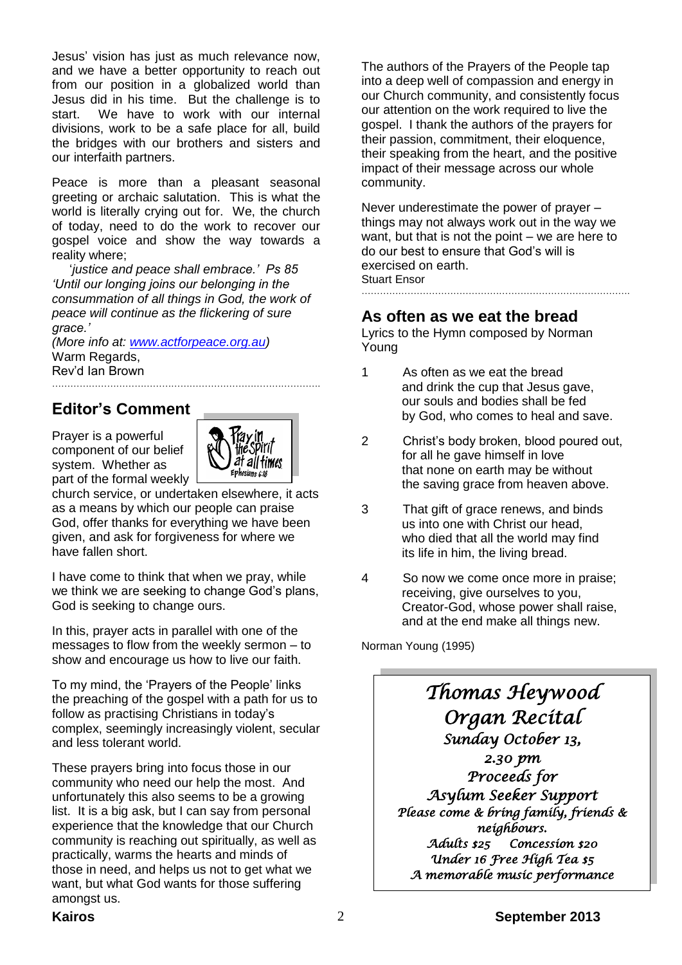Jesus' vision has just as much relevance now, and we have a better opportunity to reach out from our position in a globalized world than Jesus did in his time. But the challenge is to start. We have to work with our internal divisions, work to be a safe place for all, build the bridges with our brothers and sisters and our interfaith partners.

Peace is more than a pleasant seasonal greeting or archaic salutation. This is what the world is literally crying out for. We, the church of today, need to do the work to recover our gospel voice and show the way towards a reality where;

 '*justice and peace shall embrace.' Ps 85 'Until our longing joins our belonging in the consummation of all things in God, the work of peace will continue as the flickering of sure grace.'*

*(More info at: [www.actforpeace.org.au\)](http://www.actforpeace.org.au/)* Warm Regards, Rev'd Ian Brown

## **Editor's Comment**

Prayer is a powerful component of our belief system. Whether as part of the formal weekly



church service, or undertaken elsewhere, it acts as a means by which our people can praise God, offer thanks for everything we have been given, and ask for forgiveness for where we have fallen short.

I have come to think that when we pray, while we think we are seeking to change God's plans, God is seeking to change ours.

In this, prayer acts in parallel with one of the messages to flow from the weekly sermon – to show and encourage us how to live our faith.

To my mind, the 'Prayers of the People' links the preaching of the gospel with a path for us to follow as practising Christians in today's complex, seemingly increasingly violent, secular and less tolerant world.

These prayers bring into focus those in our community who need our help the most. And unfortunately this also seems to be a growing list. It is a big ask, but I can say from personal experience that the knowledge that our Church community is reaching out spiritually, as well as practically, warms the hearts and minds of those in need, and helps us not to get what we want, but what God wants for those suffering amongst us.

The authors of the Prayers of the People tap into a deep well of compassion and energy in our Church community, and consistently focus our attention on the work required to live the gospel. I thank the authors of the prayers for their passion, commitment, their eloquence, their speaking from the heart, and the positive impact of their message across our whole community.

Never underestimate the power of prayer – things may not always work out in the way we want, but that is not the point – we are here to do our best to ensure that God's will is exercised on earth. Stuart Ensor

#### **As often as we eat the bread**

Lyrics to the Hymn composed by Norman Young

- 1 As often as we eat the bread and drink the cup that Jesus gave, our souls and bodies shall be fed by God, who comes to heal and save.
- 2 Christ's body broken, blood poured out, for all he gave himself in love that none on earth may be without the saving grace from heaven above.
- 3 That gift of grace renews, and binds us into one with Christ our head, who died that all the world may find its life in him, the living bread.
- 4 So now we come once more in praise; receiving, give ourselves to you, Creator-God, whose power shall raise, and at the end make all things new.

Norman Young (1995)

*Thomas Heywood Organ Recital Sunday October 13, 2.30 pm Proceeds for Asylum Seeker Support Please come & bring family, friends & neighbours. Adults \$25 Concession \$20 Under 16 Free High Tea \$5 A memorable music performance*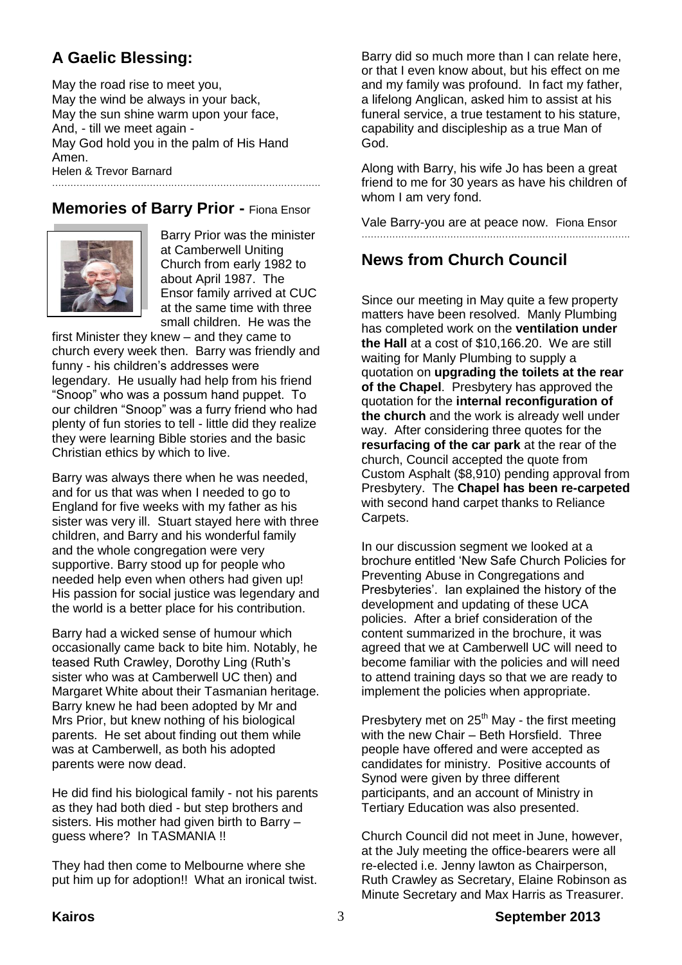## **A Gaelic Blessing:**

May the road rise to meet you, May the wind be always in your back, May the sun shine warm upon your face, And, - till we meet again - May God hold you in the palm of His Hand Amen. Helen & Trevor Barnard …………………………………………………………………………….

#### **Memories of Barry Prior -** Fiona Ensor



 Barry Prior was the minister at Camberwell Uniting Church from early 1982 to about April 1987. The Ensor family arrived at CUC at the same time with three small children. He was the

first Minister they knew – and they came to church every week then. Barry was friendly and funny - his children's addresses were legendary. He usually had help from his friend "Snoop" who was a possum hand puppet. To our children "Snoop" was a furry friend who had plenty of fun stories to tell - little did they realize they were learning Bible stories and the basic Christian ethics by which to live.

Barry was always there when he was needed, and for us that was when I needed to go to England for five weeks with my father as his sister was very ill. Stuart stayed here with three children, and Barry and his wonderful family and the whole congregation were very supportive. Barry stood up for people who needed help even when others had given up! His passion for social justice was legendary and the world is a better place for his contribution.

Barry had a wicked sense of humour which occasionally came back to bite him. Notably, he teased Ruth Crawley, Dorothy Ling (Ruth's sister who was at Camberwell UC then) and Margaret White about their Tasmanian heritage. Barry knew he had been adopted by Mr and Mrs Prior, but knew nothing of his biological parents. He set about finding out them while was at Camberwell, as both his adopted parents were now dead.

He did find his biological family - not his parents as they had both died - but step brothers and sisters. His mother had given birth to Barry – guess where? In TASMANIA !!

They had then come to Melbourne where she put him up for adoption!! What an ironical twist. Barry did so much more than I can relate here, or that I even know about, but his effect on me and my family was profound. In fact my father, a lifelong Anglican, asked him to assist at his funeral service, a true testament to his stature, capability and discipleship as a true Man of God.

Along with Barry, his wife Jo has been a great friend to me for 30 years as have his children of whom I am very fond.

Vale Barry-you are at peace now. Fiona Ensor …………………………………………………………………………….

#### **News from Church Council**

Since our meeting in May quite a few property matters have been resolved. Manly Plumbing has completed work on the **ventilation under the Hall** at a cost of \$10,166.20. We are still waiting for Manly Plumbing to supply a quotation on **upgrading the toilets at the rear of the Chapel**. Presbytery has approved the quotation for the **internal reconfiguration of the church** and the work is already well under way. After considering three quotes for the **resurfacing of the car park** at the rear of the church, Council accepted the quote from Custom Asphalt (\$8,910) pending approval from Presbytery. The **Chapel has been re-carpeted** with second hand carpet thanks to Reliance Carpets.

In our discussion segment we looked at a brochure entitled 'New Safe Church Policies for Preventing Abuse in Congregations and Presbyteries'. Ian explained the history of the development and updating of these UCA policies. After a brief consideration of the content summarized in the brochure, it was agreed that we at Camberwell UC will need to become familiar with the policies and will need to attend training days so that we are ready to implement the policies when appropriate.

Presbytery met on  $25<sup>th</sup>$  May - the first meeting with the new Chair – Beth Horsfield. Three people have offered and were accepted as candidates for ministry. Positive accounts of Synod were given by three different participants, and an account of Ministry in Tertiary Education was also presented.

Church Council did not meet in June, however, at the July meeting the office-bearers were all re-elected i.e. Jenny lawton as Chairperson, Ruth Crawley as Secretary, Elaine Robinson as Minute Secretary and Max Harris as Treasurer.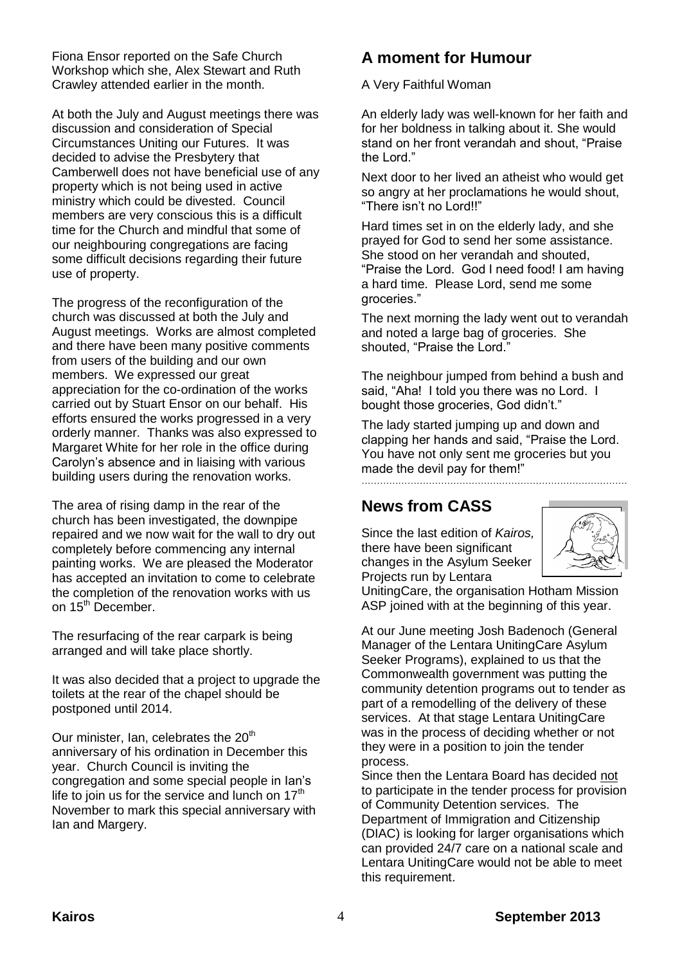Fiona Ensor reported on the Safe Church Workshop which she, Alex Stewart and Ruth Crawley attended earlier in the month.

At both the July and August meetings there was discussion and consideration of Special Circumstances Uniting our Futures. It was decided to advise the Presbytery that Camberwell does not have beneficial use of any property which is not being used in active ministry which could be divested. Council members are very conscious this is a difficult time for the Church and mindful that some of our neighbouring congregations are facing some difficult decisions regarding their future use of property.

The progress of the reconfiguration of the church was discussed at both the July and August meetings. Works are almost completed and there have been many positive comments from users of the building and our own members. We expressed our great appreciation for the co-ordination of the works carried out by Stuart Ensor on our behalf. His efforts ensured the works progressed in a very orderly manner. Thanks was also expressed to Margaret White for her role in the office during Carolyn's absence and in liaising with various building users during the renovation works.

The area of rising damp in the rear of the church has been investigated, the downpipe repaired and we now wait for the wall to dry out completely before commencing any internal painting works. We are pleased the Moderator has accepted an invitation to come to celebrate the completion of the renovation works with us on 15<sup>th</sup> December.

The resurfacing of the rear carpark is being arranged and will take place shortly.

It was also decided that a project to upgrade the toilets at the rear of the chapel should be postponed until 2014.

Our minister, Ian, celebrates the  $20<sup>th</sup>$ anniversary of his ordination in December this year. Church Council is inviting the congregation and some special people in Ian's life to join us for the service and lunch on  $17<sup>th</sup>$ November to mark this special anniversary with Ian and Margery.

## **A moment for Humour**

A Very Faithful Woman

An elderly lady was well-known for her faith and for her boldness in talking about it. She would stand on her front verandah and shout, "Praise the Lord."

Next door to her lived an atheist who would get so angry at her proclamations he would shout, "There isn't no Lord!!"

Hard times set in on the elderly lady, and she prayed for God to send her some assistance. She stood on her verandah and shouted, "Praise the Lord. God I need food! I am having a hard time. Please Lord, send me some groceries."

The next morning the lady went out to verandah and noted a large bag of groceries. She shouted, "Praise the Lord."

The neighbour jumped from behind a bush and said, "Aha! I told you there was no Lord. I bought those groceries, God didn't."

The lady started jumping up and down and clapping her hands and said, "Praise the Lord. You have not only sent me groceries but you made the devil pay for them!"  $\mathbb{R}$  . The contract of the contract of the contract of the contract of the contract of the contract of the contract of the contract of the contract of the contract of the contract of the contract of the contract of th

## **News from CASS**

Since the last edition of *Kairos,* there have been significant changes in the Asylum Seeker Projects run by Lentara



UnitingCare, the organisation Hotham Mission ASP joined with at the beginning of this year.

At our June meeting Josh Badenoch (General Manager of the Lentara UnitingCare Asylum Seeker Programs), explained to us that the Commonwealth government was putting the community detention programs out to tender as part of a remodelling of the delivery of these services. At that stage Lentara UnitingCare was in the process of deciding whether or not they were in a position to join the tender process.

Since then the Lentara Board has decided not to participate in the tender process for provision of Community Detention services. The Department of Immigration and Citizenship (DIAC) is looking for larger organisations which can provided 24/7 care on a national scale and Lentara UnitingCare would not be able to meet this requirement.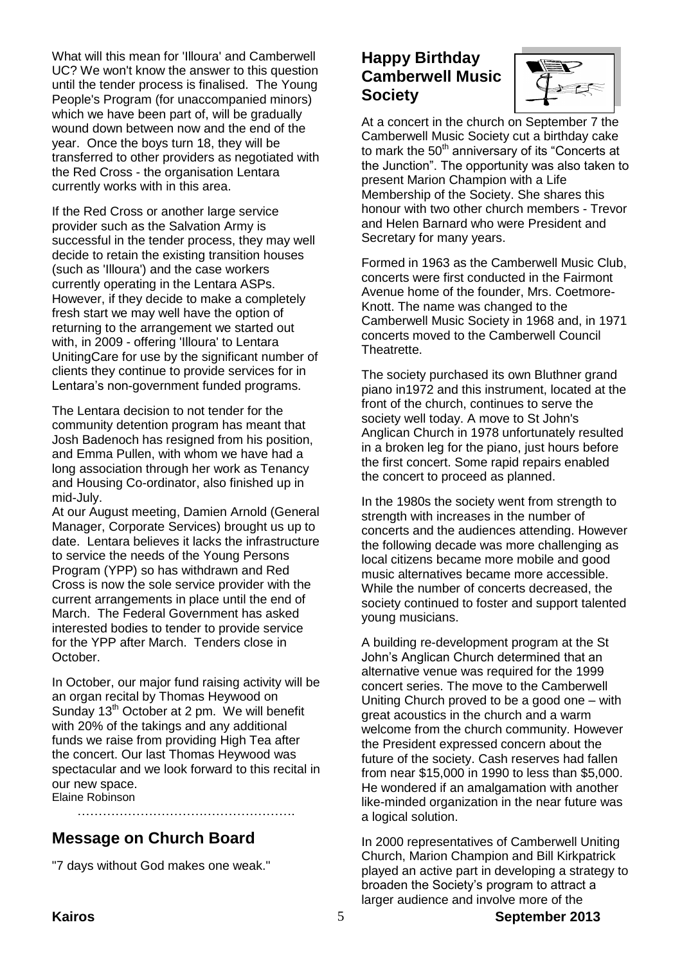What will this mean for 'Illoura' and Camberwell UC? We won't know the answer to this question until the tender process is finalised. The Young People's Program (for unaccompanied minors) which we have been part of, will be gradually wound down between now and the end of the year. Once the boys turn 18, they will be transferred to other providers as negotiated with the Red Cross - the organisation Lentara currently works with in this area.

If the Red Cross or another large service provider such as the Salvation Army is successful in the tender process, they may well decide to retain the existing transition houses (such as 'Illoura') and the case workers currently operating in the Lentara ASPs. However, if they decide to make a completely fresh start we may well have the option of returning to the arrangement we started out with, in 2009 - offering 'Illoura' to Lentara UnitingCare for use by the significant number of clients they continue to provide services for in Lentara's non-government funded programs.

The Lentara decision to not tender for the community detention program has meant that Josh Badenoch has resigned from his position, and Emma Pullen, with whom we have had a long association through her work as Tenancy and Housing Co-ordinator, also finished up in mid-July.

At our August meeting, Damien Arnold (General Manager, Corporate Services) brought us up to date. Lentara believes it lacks the infrastructure to service the needs of the Young Persons Program (YPP) so has withdrawn and Red Cross is now the sole service provider with the current arrangements in place until the end of March. The Federal Government has asked interested bodies to tender to provide service for the YPP after March. Tenders close in October.

In October, our major fund raising activity will be an organ recital by Thomas Heywood on Sunday 13<sup>th</sup> October at 2 pm. We will benefit with 20% of the takings and any additional funds we raise from providing High Tea after the concert. Our last Thomas Heywood was spectacular and we look forward to this recital in our new space.

…………………………………………….

Elaine Robinson

# **Message on Church Board**

"7 days without God makes one weak."

## **Happy Birthday Camberwell Music Society**



At a concert in the church on September 7 the Camberwell Music Society cut a birthday cake to mark the  $50<sup>th</sup>$  anniversary of its "Concerts at the Junction". The opportunity was also taken to present Marion Champion with a Life Membership of the Society. She shares this honour with two other church members - Trevor and Helen Barnard who were President and Secretary for many years.

Formed in 1963 as the Camberwell Music Club, concerts were first conducted in the Fairmont Avenue home of the founder, Mrs. Coetmore-Knott. The name was changed to the Camberwell Music Society in 1968 and, in 1971 concerts moved to the Camberwell Council Theatrette.

The society purchased its own Bluthner grand piano in1972 and this instrument, located at the front of the church, continues to serve the society well today. A move to St John's Anglican Church in 1978 unfortunately resulted in a broken leg for the piano, just hours before the first concert. Some rapid repairs enabled the concert to proceed as planned.

In the 1980s the society went from strength to strength with increases in the number of concerts and the audiences attending. However the following decade was more challenging as local citizens became more mobile and good music alternatives became more accessible. While the number of concerts decreased, the society continued to foster and support talented young musicians.

A building re-development program at the St John's Anglican Church determined that an alternative venue was required for the 1999 concert series. The move to the Camberwell Uniting Church proved to be a good one – with great acoustics in the church and a warm welcome from the church community. However the President expressed concern about the future of the society. Cash reserves had fallen from near \$15,000 in 1990 to less than \$5,000. He wondered if an amalgamation with another like-minded organization in the near future was a logical solution.

In 2000 representatives of Camberwell Uniting Church, Marion Champion and Bill Kirkpatrick played an active part in developing a strategy to broaden the Society's program to attract a larger audience and involve more of the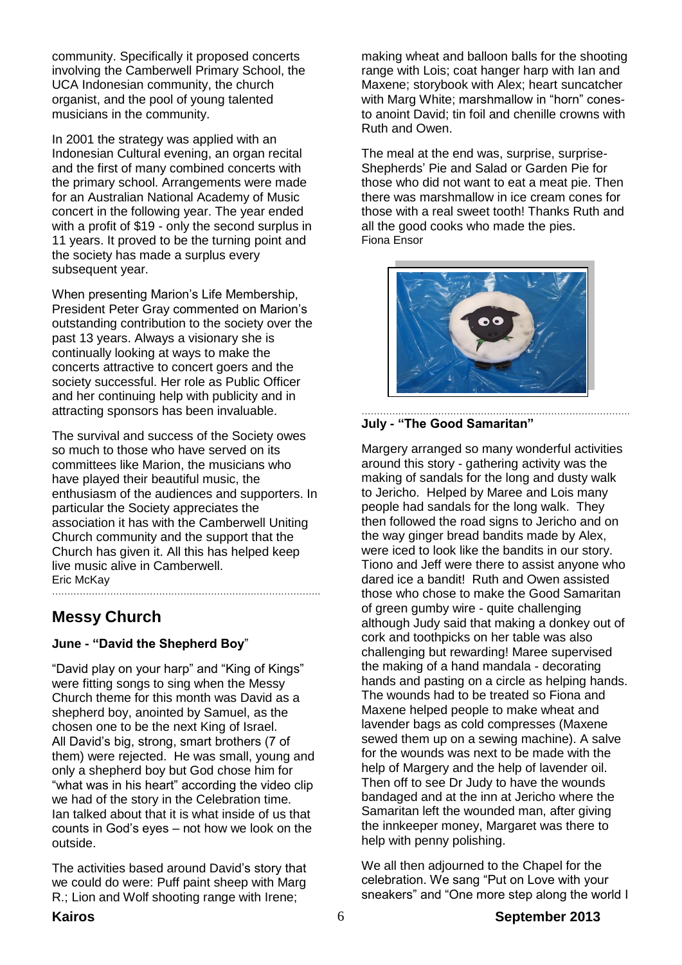community. Specifically it proposed concerts involving the Camberwell Primary School, the UCA Indonesian community, the church organist, and the pool of young talented musicians in the community.

In 2001 the strategy was applied with an Indonesian Cultural evening, an organ recital and the first of many combined concerts with the primary school. Arrangements were made for an Australian National Academy of Music concert in the following year. The year ended with a profit of \$19 - only the second surplus in 11 years. It proved to be the turning point and the society has made a surplus every subsequent year.

When presenting Marion's Life Membership, President Peter Gray commented on Marion's outstanding contribution to the society over the past 13 years. Always a visionary she is continually looking at ways to make the concerts attractive to concert goers and the society successful. Her role as Public Officer and her continuing help with publicity and in attracting sponsors has been invaluable.

The survival and success of the Society owes so much to those who have served on its committees like Marion, the musicians who have played their beautiful music, the enthusiasm of the audiences and supporters. In particular the Society appreciates the association it has with the Camberwell Uniting Church community and the support that the Church has given it. All this has helped keep live music alive in Camberwell. Eric McKay …………………………………………………………………………….

## **Messy Church**

#### **June - "David the Shepherd Boy**"

"David play on your harp" and "King of Kings" were fitting songs to sing when the Messy Church theme for this month was David as a shepherd boy, anointed by Samuel, as the chosen one to be the next King of Israel. All David's big, strong, smart brothers (7 of them) were rejected. He was small, young and only a shepherd boy but God chose him for "what was in his heart" according the video clip we had of the story in the Celebration time. Ian talked about that it is what inside of us that counts in God's eyes – not how we look on the outside.

The activities based around David's story that we could do were: Puff paint sheep with Marg R.; Lion and Wolf shooting range with Irene;

making wheat and balloon balls for the shooting range with Lois; coat hanger harp with Ian and Maxene; storybook with Alex; heart suncatcher with Marg White; marshmallow in "horn" conesto anoint David; tin foil and chenille crowns with Ruth and Owen.

The meal at the end was, surprise, surprise-Shepherds' Pie and Salad or Garden Pie for those who did not want to eat a meat pie. Then there was marshmallow in ice cream cones for those with a real sweet tooth! Thanks Ruth and all the good cooks who made the pies. Fiona Ensor



#### ……………………………………………………………………………. **July - "The Good Samaritan"**

Margery arranged so many wonderful activities around this story - gathering activity was the making of sandals for the long and dusty walk to Jericho. Helped by Maree and Lois many people had sandals for the long walk. They then followed the road signs to Jericho and on the way ginger bread bandits made by Alex, were iced to look like the bandits in our story. Tiono and Jeff were there to assist anyone who dared ice a bandit! Ruth and Owen assisted those who chose to make the Good Samaritan of green gumby wire - quite challenging although Judy said that making a donkey out of cork and toothpicks on her table was also challenging but rewarding! Maree supervised the making of a hand mandala - decorating hands and pasting on a circle as helping hands. The wounds had to be treated so Fiona and Maxene helped people to make wheat and lavender bags as cold compresses (Maxene sewed them up on a sewing machine). A salve for the wounds was next to be made with the help of Margery and the help of lavender oil. Then off to see Dr Judy to have the wounds bandaged and at the inn at Jericho where the Samaritan left the wounded man, after giving the innkeeper money, Margaret was there to help with penny polishing.

We all then adjourned to the Chapel for the celebration. We sang "Put on Love with your sneakers" and "One more step along the world I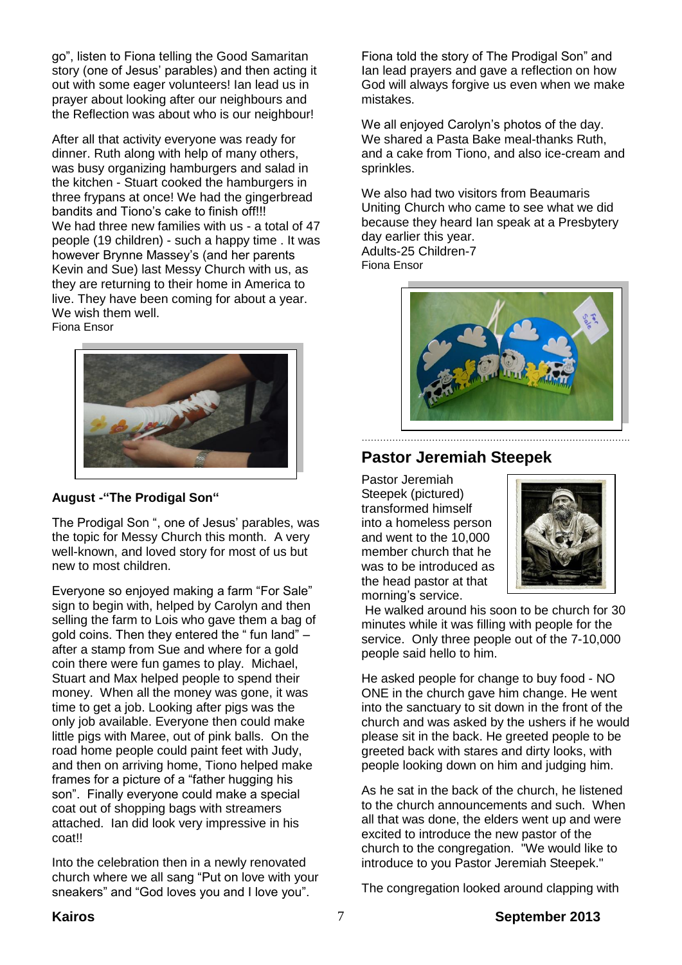go", listen to Fiona telling the Good Samaritan story (one of Jesus' parables) and then acting it out with some eager volunteers! Ian lead us in prayer about looking after our neighbours and the Reflection was about who is our neighbour!

After all that activity everyone was ready for dinner. Ruth along with help of many others, was busy organizing hamburgers and salad in the kitchen - Stuart cooked the hamburgers in three frypans at once! We had the gingerbread bandits and Tiono's cake to finish off!!! We had three new families with us - a total of 47 people (19 children) - such a happy time . It was however Brynne Massey's (and her parents Kevin and Sue) last Messy Church with us, as they are returning to their home in America to live. They have been coming for about a year. We wish them well.

Fiona Ensor





The Prodigal Son ", one of Jesus' parables, was the topic for Messy Church this month. A very well-known, and loved story for most of us but new to most children.

Everyone so enjoyed making a farm "For Sale" sign to begin with, helped by Carolyn and then selling the farm to Lois who gave them a bag of gold coins. Then they entered the " fun land"  $$ after a stamp from Sue and where for a gold coin there were fun games to play. Michael, Stuart and Max helped people to spend their money. When all the money was gone, it was time to get a job. Looking after pigs was the only job available. Everyone then could make little pigs with Maree, out of pink balls. On the road home people could paint feet with Judy, and then on arriving home, Tiono helped make frames for a picture of a "father hugging his son". Finally everyone could make a special coat out of shopping bags with streamers attached. Ian did look very impressive in his coat!!

Into the celebration then in a newly renovated church where we all sang "Put on love with your sneakers" and "God loves you and I love you".

Fiona told the story of The Prodigal Son" and Ian lead prayers and gave a reflection on how God will always forgive us even when we make mistakes.

We all enjoyed Carolyn's photos of the day. We shared a Pasta Bake meal-thanks Ruth, and a cake from Tiono, and also ice-cream and sprinkles.

We also had two visitors from Beaumaris Uniting Church who came to see what we did because they heard Ian speak at a Presbytery day earlier this year. Adults-25 Children-7

Fiona Ensor



## **Pastor Jeremiah Steepek**

Pastor Jeremiah Steepek (pictured) transformed himself into a homeless person and went to the 10,000 member church that he was to be introduced as the head pastor at that morning's service.



He walked around his soon to be church for 30 minutes while it was filling with people for the service. Only three people out of the 7-10,000 people said hello to him.

He asked people for change to buy food - NO ONE in the church gave him change. He went into the sanctuary to sit down in the front of the church and was asked by the ushers if he would please sit in the back. He greeted people to be greeted back with stares and dirty looks, with people looking down on him and judging him.

As he sat in the back of the church, he listened to the church announcements and such. When all that was done, the elders went up and were excited to introduce the new pastor of the church to the congregation. "We would like to introduce to you Pastor Jeremiah Steepek."

The congregation looked around clapping with